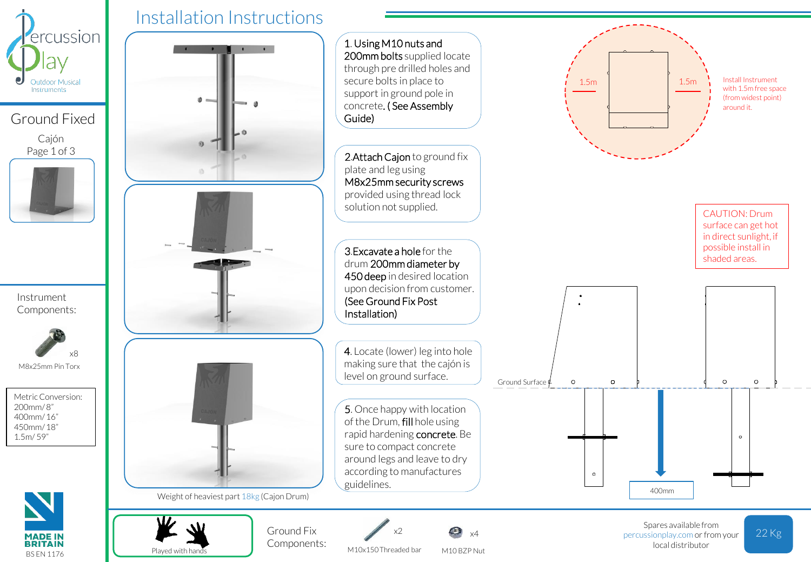

Ground Fixed Cajón Page 1 of 3



Instrument Components:



Metric Conversion: 200mm/ 8" 400mm/ 16" 450mm/ 18"

1.5m/ 59"

**MADE IN BRITAIN** BS EN 1176

Played with hands





M10 BZP Nut

M10x150 Threaded bar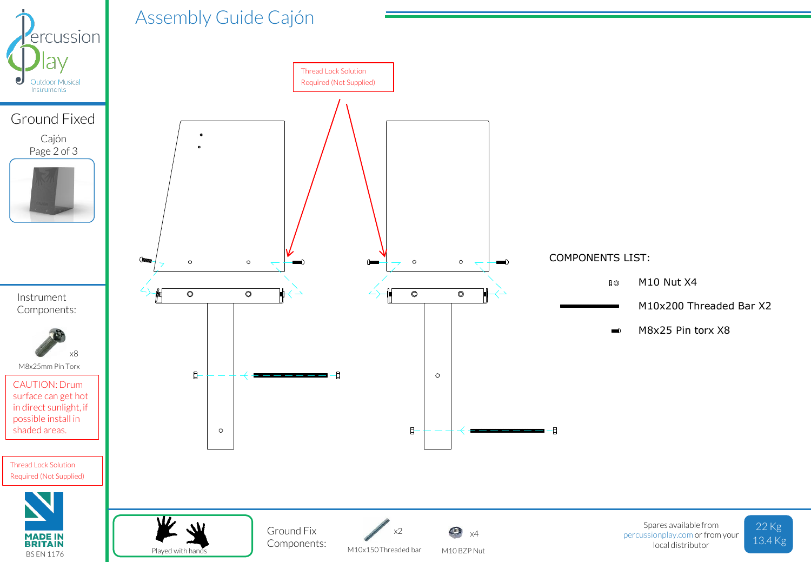